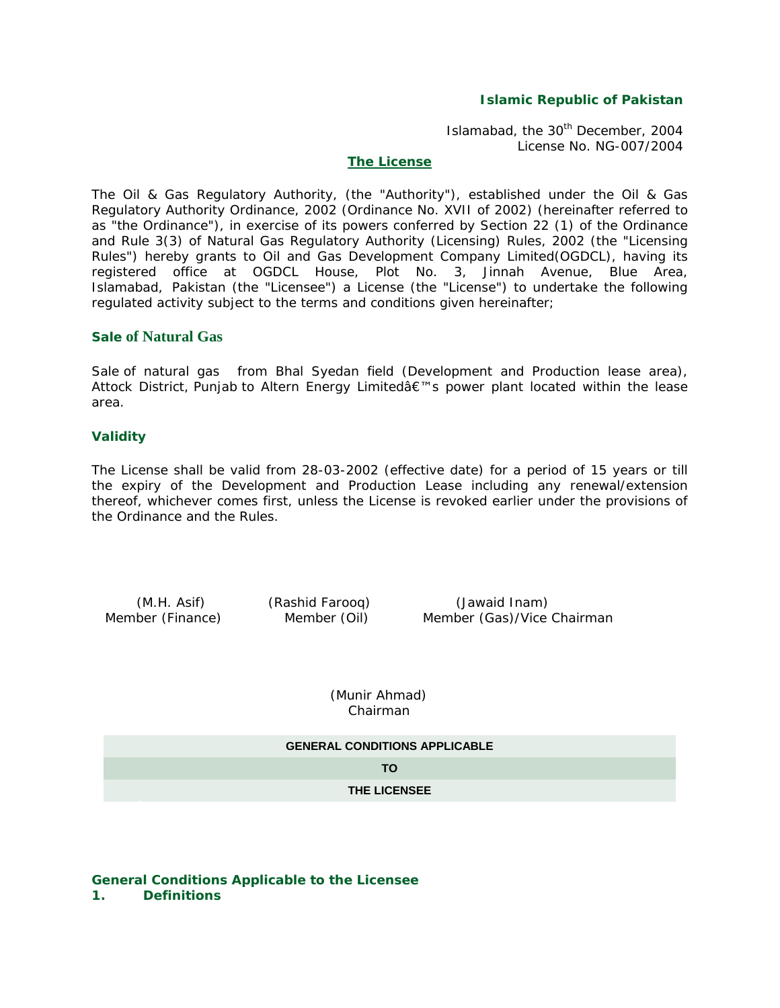## **Islamic Republic of Pakistan**

Islamabad, the 30<sup>th</sup> December, 2004 License No. NG-007/2004

### **The License**

The Oil & Gas Regulatory Authority, (the "Authority"), established under the Oil & Gas Regulatory Authority Ordinance, 2002 (Ordinance No. XVII of 2002) (hereinafter referred to as "the Ordinance"), in exercise of its powers conferred by Section 22 (1) of the Ordinance and Rule 3(3) of Natural Gas Regulatory Authority (Licensing) Rules, 2002 (the "Licensing Rules") hereby grants to Oil and Gas Development Company Limited(OGDCL), having its registered office at OGDCL House, Plot No. 3, Jinnah Avenue, Blue Area, Islamabad, Pakistan (the "Licensee") a License (the "License") to undertake the following regulated activity subject to the terms and conditions given hereinafter;

# **Sale of Natural Gas**

Sale of natural gas from Bhal Syedan field (Development and Production lease area), Attock District, Punjab to Altern Energy Limited's power plant located within the lease area.

#### **Validity**

The License shall be valid from 28-03-2002 (effective date) for a period of 15 years or till the expiry of the Development and Production Lease including any renewal/extension thereof, whichever comes first, unless the License is revoked earlier under the provisions of the Ordinance and the Rules.

 (M.H. Asif) (Rashid Farooq) (Jawaid Inam) Member (Finance) Member (Oil) Member (Gas)/Vice Chairman

 (Munir Ahmad) Chairman

| <b>GENERAL CONDITIONS APPLICABLE</b> |
|--------------------------------------|
| TΟ                                   |
| <b>THE LICENSEE</b>                  |

#### **General Conditions Applicable to the Licensee 1. Definitions**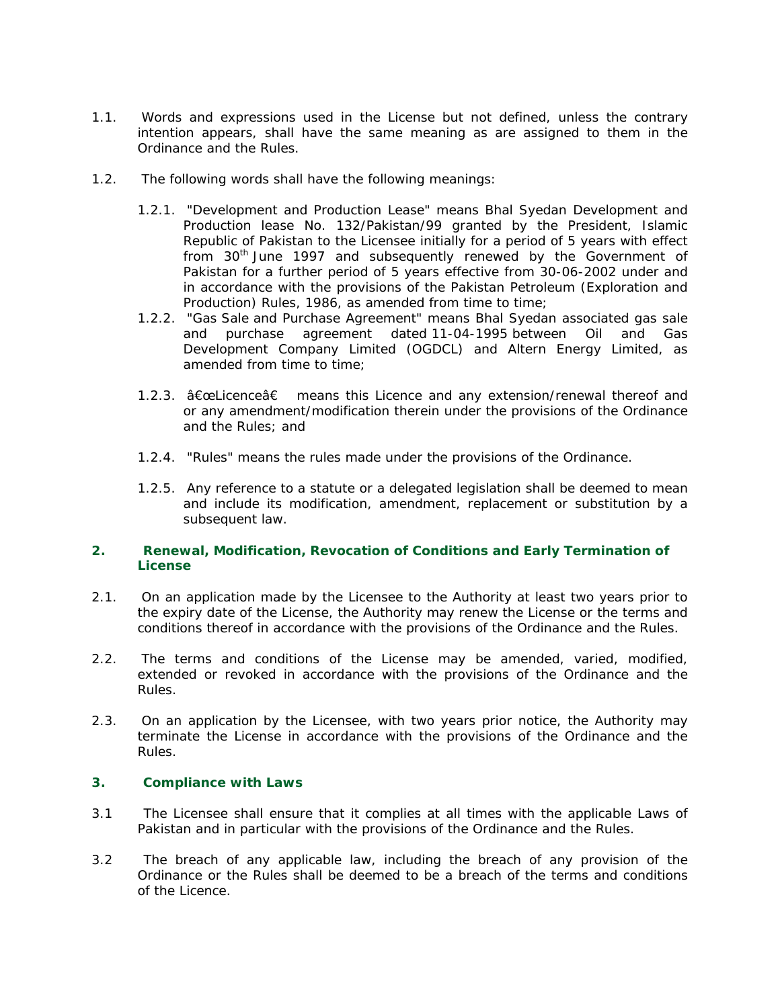- 1.1. Words and expressions used in the License but not defined, unless the contrary intention appears, shall have the same meaning as are assigned to them in the Ordinance and the Rules.
- 1.2. The following words shall have the following meanings:
	- 1.2.1. "Development and Production Lease" means Bhal Syedan Development and Production lease No. 132/Pakistan/99 granted by the President, Islamic Republic of Pakistan to the Licensee initially for a period of 5 years with effect from  $30<sup>th</sup>$  June 1997 and subsequently renewed by the Government of Pakistan for a further period of 5 years effective from 30-06-2002 under and in accordance with the provisions of the Pakistan Petroleum (Exploration and Production) Rules, 1986, as amended from time to time;
	- 1.2.2. "Gas Sale and Purchase Agreement" means Bhal Syedan associated gas sale and purchase agreement dated 11-04-1995 between Oil and Gas Development Company Limited (OGDCL) and Altern Energy Limited, as amended from time to time;
	- 1.2.3.  $â€$ ceLicence $â€$  means this Licence and any extension/renewal thereof and or any amendment/modification therein under the provisions of the Ordinance and the Rules; and
	- 1.2.4. "Rules" means the rules made under the provisions of the Ordinance.
	- 1.2.5. Any reference to a statute or a delegated legislation shall be deemed to mean and include its modification, amendment, replacement or substitution by a subsequent law.

## **2. Renewal, Modification, Revocation of Conditions and Early Termination of License**

- 2.1. On an application made by the Licensee to the Authority at least two years prior to the expiry date of the License, the Authority may renew the License or the terms and conditions thereof in accordance with the provisions of the Ordinance and the Rules.
- 2.2. The terms and conditions of the License may be amended, varied, modified, extended or revoked in accordance with the provisions of the Ordinance and the Rules.
- 2.3. On an application by the Licensee, with two years prior notice, the Authority may terminate the License in accordance with the provisions of the Ordinance and the Rules.

### **3. Compliance with Laws**

- 3.1 The Licensee shall ensure that it complies at all times with the applicable Laws of Pakistan and in particular with the provisions of the Ordinance and the Rules.
- 3.2 The breach of any applicable law, including the breach of any provision of the Ordinance or the Rules shall be deemed to be a breach of the terms and conditions of the Licence.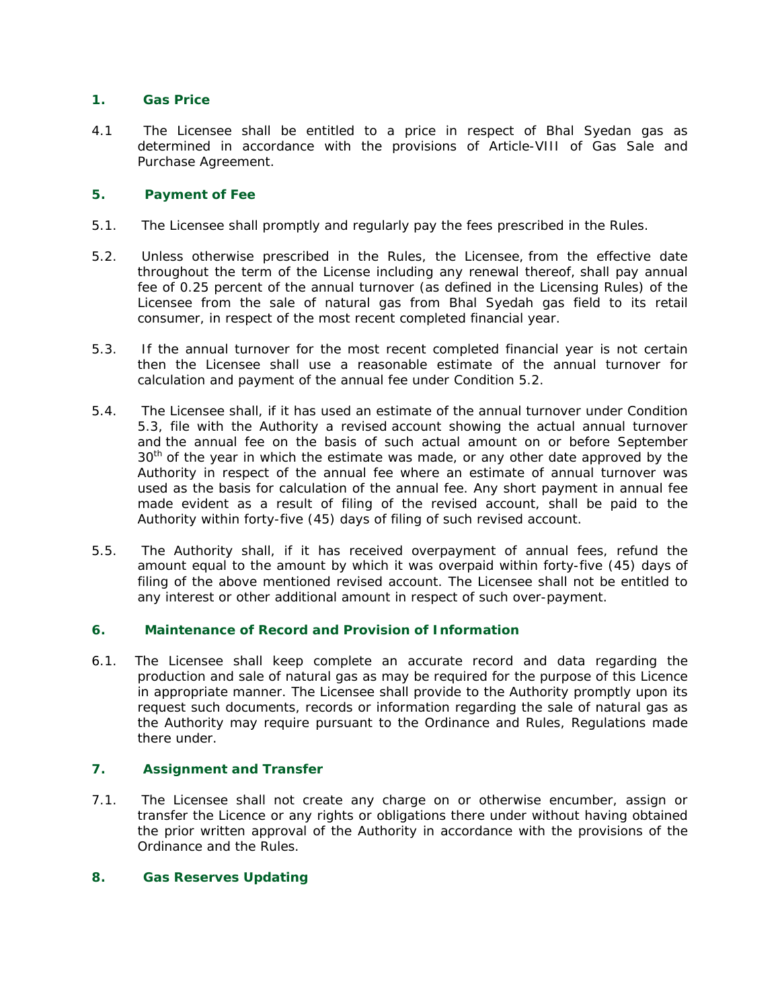## **1. Gas Price**

4.1 The Licensee shall be entitled to a price in respect of Bhal Syedan gas as determined in accordance with the provisions of Article-VIII of Gas Sale and Purchase Agreement.

## **5. Payment of Fee**

- 5.1. The Licensee shall promptly and regularly pay the fees prescribed in the Rules.
- 5.2. Unless otherwise prescribed in the Rules, the Licensee, from the effective date throughout the term of the License including any renewal thereof, shall pay annual fee of 0.25 percent of the annual turnover (as defined in the Licensing Rules) of the Licensee from the sale of natural gas from Bhal Syedah gas field to its retail consumer, in respect of the most recent completed financial year.
- 5.3. If the annual turnover for the most recent completed financial year is not certain then the Licensee shall use a reasonable estimate of the annual turnover for calculation and payment of the annual fee under Condition 5.2.
- 5.4. The Licensee shall, if it has used an estimate of the annual turnover under Condition 5.3, file with the Authority a revised account showing the actual annual turnover and the annual fee on the basis of such actual amount on or before September 30<sup>th</sup> of the year in which the estimate was made, or any other date approved by the Authority in respect of the annual fee where an estimate of annual turnover was used as the basis for calculation of the annual fee. Any short payment in annual fee made evident as a result of filing of the revised account, shall be paid to the Authority within forty-five (45) days of filing of such revised account.
- 5.5. The Authority shall, if it has received overpayment of annual fees, refund the amount equal to the amount by which it was overpaid within forty-five (45) days of filing of the above mentioned revised account. The Licensee shall not be entitled to any interest or other additional amount in respect of such over-payment.

# **6. Maintenance of Record and Provision of Information**

6.1. The Licensee shall keep complete an accurate record and data regarding the production and sale of natural gas as may be required for the purpose of this Licence in appropriate manner. The Licensee shall provide to the Authority promptly upon its request such documents, records or information regarding the sale of natural gas as the Authority may require pursuant to the Ordinance and Rules, Regulations made there under.

# **7. Assignment and Transfer**

7.1. The Licensee shall not create any charge on or otherwise encumber, assign or transfer the Licence or any rights or obligations there under without having obtained the prior written approval of the Authority in accordance with the provisions of the Ordinance and the Rules.

### **8. Gas Reserves Updating**